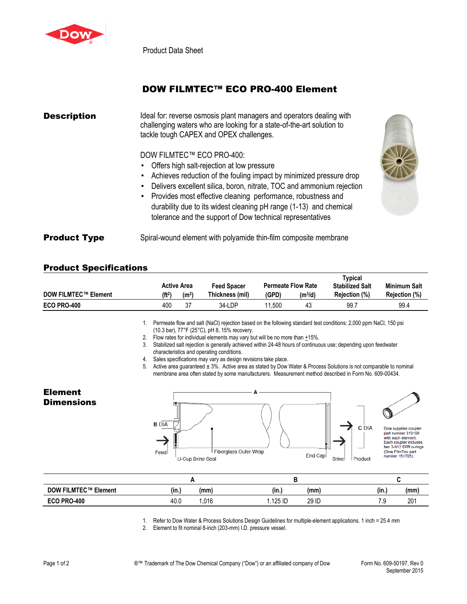

Product Data Sheet

## DOW FILMTEC™ ECO PRO-400 Element

| <b>Description</b>  | Ideal for: reverse osmosis plant managers and operators dealing with<br>challenging waters who are looking for a state-of-the-art solution to<br>tackle tough CAPEX and OPEX challenges.                                                                                                                                                                                                                                          |  |  |  |  |
|---------------------|-----------------------------------------------------------------------------------------------------------------------------------------------------------------------------------------------------------------------------------------------------------------------------------------------------------------------------------------------------------------------------------------------------------------------------------|--|--|--|--|
|                     | DOW FILMTEC™ ECO PRO-400:<br>• Offers high salt-rejection at low pressure<br>• Achieves reduction of the fouling impact by minimized pressure drop<br>Delivers excellent silica, boron, nitrate, TOC and ammonium rejection<br>• Provides most effective cleaning performance, robustness and<br>durability due to its widest cleaning pH range (1-13) and chemical<br>tolerance and the support of Dow technical representatives |  |  |  |  |
| <b>Product Type</b> | Spiral-wound element with polyamide thin-film composite membrane                                                                                                                                                                                                                                                                                                                                                                  |  |  |  |  |

## Product Specifications

|                             |                    |                    |                    |                           |           | <b>Typical</b>         |                      |  |
|-----------------------------|--------------------|--------------------|--------------------|---------------------------|-----------|------------------------|----------------------|--|
|                             |                    | <b>Active Area</b> | <b>Feed Spacer</b> | <b>Permeate Flow Rate</b> |           | <b>Stabilized Salt</b> | <b>Minimum Salt</b>  |  |
| <b>DOW FILMTEC™ Element</b> | (ft <sup>2</sup> ) | (m <sup>2</sup> )  | Thickness (mil)    | (GPD)                     | $(m^3/d)$ | Rejection (%)          | <b>Rejection (%)</b> |  |
| <b>ECO PRO-400</b>          | 400                | 37                 | 34-LDP             | .500                      | 43        | 99.                    | 99.4                 |  |

1. Permeate flow and salt (NaCl) rejection based on the following standard test conditions: 2,000 ppm NaCl, 150 psi (10.3 bar), 77°F (25°C), pH 8, 15% recovery.

2. Flow rates for individual elements may vary but will be no more than  $+15\%$ .

3. Stabilized salt rejection is generally achieved within 24-48 hours of continuous use; depending upon feedwater characteristics and operating conditions.

4. Sales specifications may vary as design revisions take place.

5. Active area guaranteed  $\pm 3$ %. Active area as stated by Dow Water & Process Solutions is not comparable to nominal membrane area often stated by some manufacturers. Measurement method described in Form No. 609-00434.

## Element **Dimensions**





Dow supplies coupler<br>part number 313198<br>with each element.<br>Each coupler includes Lach cooper includes<br>two 3-912 EPR o-rings<br>(Dow FilmTec part<br>number 151705).

| <b>DOW FILMTEC™ Element</b> | $\cdots$<br>(in.) | (mm) | (mm<br>(in.)    | $\cdots$<br>(in., | (mm |
|-----------------------------|-------------------|------|-----------------|-------------------|-----|
| ECO PRO-400                 | 40.0              | .016 | 29 ID<br>125 ID | 70<br>ن. ا        | 201 |

1. Refer to Dow Water & Process Solutions Design Guidelines for multiple-element applications. 1 inch = 25.4 mm

2. Element to fit nominal 8-inch (203-mm) I.D. pressure vessel.